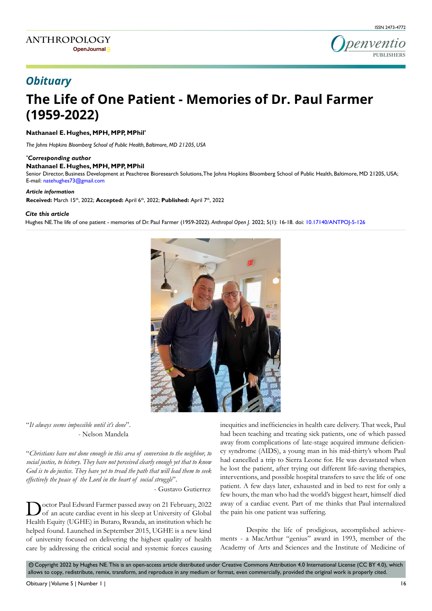

## *Obituary*

# **The Life of One Patient - Memories of Dr. Paul Farmer (1959-2022)**

#### **Nathanael E. Hughes, MPH, MPP, MPhil\***

*The Johns Hopkins Bloomberg School of Public Health, Baltimore, MD 21205, USA*

#### *\* Corresponding author*

#### **Nathanael E. Hughes, MPH, MPP, MPhil**

Senior Director, Business Development at Peachtree Bioresearch Solutions, The Johns Hopkins Bloomberg School of Public Health, Baltimore, MD 21205, USA; E-mail: natehughes73@gmail.com

#### *Article information*

**Received:** March 15th, 2022; **Accepted:** April 6th, 2022; **Published:** April 7th, 2022

#### *Cite this article*

Hughes NE. The life of one patient - memories of Dr. Paul Farmer (1959-2022). *Anthropol Open J*. 2022; 5(1): 16-18. doi: [10.17140/ANTPOJ-5-126](http://dx.doi.org/10.17140/ANTPOJ-5-126)



"*It always seems impossible until it's done*". - Nelson Mandela

"*Christians have not done enough in this area of conversion to the neighbor, to social justice, to history. They have not perceived clearly enough yet that to know God is to do justice. They have yet to tread the path that will lead them to seek effectively the peace of the Lord in the heart of social struggle*".

- Gustavo Gutierrez

Doctor Paul Edward Farmer passed away on 21 February, 2022<br>
of an acute cardiac event in his sleep at University of Global Health Equity (UGHE) in Butaro, Rwanda, an institution which he helped found. Launched in September 2015, UGHE is a new kind of university focused on delivering the highest quality of health care by addressing the critical social and systemic forces causing

inequities and inefficiencies in health care delivery. That week, Paul had been teaching and treating sick patients, one of which passed away from complications of late-stage acquired immune deficiency syndrome (AIDS), a young man in his mid-thirty's whom Paul had cancelled a trip to Sierra Leone for. He was devastated when he lost the patient, after trying out different life-saving therapies, interventions, and possible hospital transfers to save the life of one patient. A few days later, exhausted and in bed to rest for only a few hours, the man who had the world's biggest heart, himself died away of a cardiac event. Part of me thinks that Paul internalized the pain his one patient was suffering.

Despite the life of prodigious, accomplished achievements - a MacArthur "genius" award in 1993, member of the Academy of Arts and Sciences and the Institute of Medicine of

 Copyright 2022 by Hughes NE. This is an open-access article distributed under Creative Commons Attribution 4.0 International License (CC BY 4.0), which cc allows to copy, redistribute, remix, transform, and reproduce in any medium or format, even commercially, provided the original work is properly cited.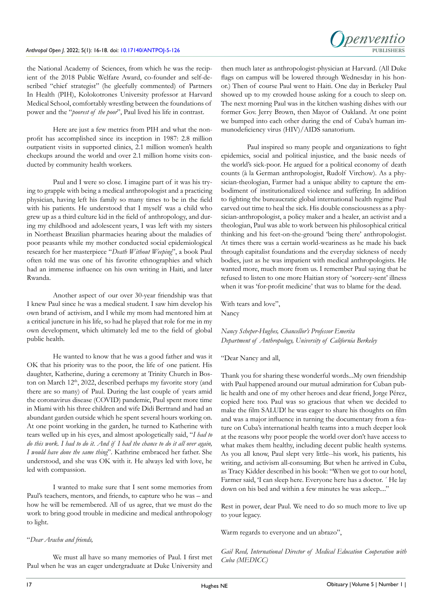

the National Academy of Sciences, from which he was the recipient of the 2018 Public Welfare Award, co-founder and self-described "chief strategist" (he gleefully commented) of Partners In Health (PIH), Kolokotrones University professor at Harvard Medical School, comfortably wrestling between the foundations of power and the "*poorest of the poor*", Paul lived his life in contrast.

Here are just a few metrics from PIH and what the nonprofit has accomplished since its inception in 1987: 2.8 million outpatient visits in supported clinics, 2.1 million women's health checkups around the world and over 2.1 million home visits conducted by community health workers.

Paul and I were so close. I imagine part of it was his trying to grapple with being a medical anthropologist and a practicing physician, having left his family so many times to be in the field with his patients. He understood that I myself was a child who grew up as a third culture kid in the field of anthropology, and during my childhood and adolescent years, I was left with my sisters in Northeast Brazilian pharmacies hearing about the maladies of poor peasants while my mother conducted social epidemiological research for her masterpiece "*Death Without Weeping*", a book Paul often told me was one of his favorite ethnographies and which had an immense influence on his own writing in Haiti, and later Rwanda.

Another aspect of our over 30-year friendship was that I knew Paul since he was a medical student. I saw him develop his own brand of activism, and I while my mom had mentored him at a critical juncture in his life, so had he played that role for me in my own development, which ultimately led me to the field of global public health.

He wanted to know that he was a good father and was it OK that his priority was to the poor, the life of one patient. His daughter, Katherine, during a ceremony at Trinity Church in Boston on March 12<sup>th</sup>, 2022, described perhaps my favorite story (and there are so many) of Paul. During the last couple of years amid the coronavirus disease (COVID) pandemic, Paul spent more time in Miami with his three children and wife Didi Bertrand and had an abundant garden outside which he spent several hours working on. At one point working in the garden, he turned to Katherine with tears welled up in his eyes, and almost apologetically said, "*I had to do this work. I had to do it. And if I had the chance to do it all over again, I would have done the same thing*". Kathrine embraced her father. She understood, and she was OK with it. He always led with love, he led with compassion.

I wanted to make sure that I sent some memories from Paul's teachers, mentors, and friends, to capture who he was – and how he will be remembered. All of us agree, that we must do the work to bring good trouble in medicine and medical anthropology to light.

#### "*Dear Arachu and friends,*

We must all have so many memories of Paul. I first met Paul when he was an eager undergraduate at Duke University and

then much later as anthropologist-physician at Harvard. (All Duke flags on campus will be lowered through Wednesday in his honor.) Then of course Paul went to Haiti. One day in Berkeley Paul showed up to my crowded house asking for a couch to sleep on. The next morning Paul was in the kitchen washing dishes with our former Gov. Jerry Brown, then Mayor of Oakland. At one point we bumped into each other during the end of Cuba's human immunodeficiency virus (HIV)/AIDS sanatorium.

Paul inspired so many people and organizations to fight epidemics, social and political injustice, and the basic needs of the world's sick-poor. He argued for a political economy of death counts (à la German anthropologist, Rudolf Virchow). As a physician-theologian, Farmer had a unique ability to capture the embodiment of institutionalized violence and suffering. In addition to fighting the bureaucratic global international health regime Paul carved out time to heal the sick. His double consciousness as a physician-anthropologist, a policy maker and a healer, an activist and a theologian, Paul was able to work between his philosophical critical thinking and his feet-on-the-ground 'being there' anthropologist. At times there was a certain world-weariness as he made his back through capitalist foundations and the everyday sickness of needy bodies, just as he was impatient with medical anthropologists. He wanted more, much more from us. I remember Paul saying that he refused to listen to one more Haitian story of 'sorcery-sent' illness when it was 'for-profit medicine' that was to blame for the dead.

With tears and love", Nancy

*Nancy Scheper-Hughes, Chancellor's Professor Emerita Department of Anthropology, University of California Berkeley*

"Dear Nancy and all,

Thank you for sharing these wonderful words...My own friendship with Paul happened around our mutual admiration for Cuban public health and one of my other heroes and dear friend, Jorge Pérez, copied here too. Paul was so gracious that when we decided to make the film SALUD! he was eager to share his thoughts on film and was a major influence in turning the documentary from a feature on Cuba's international health teams into a much deeper look at the reasons why poor people the world over don't have access to what makes them healthy, including decent public health systems. As you all know, Paul slept very little--his work, his patients, his writing, and activism all-consuming. But when he arrived in Cuba, as Tracy Kidder described in his book: "When we got to our hotel, Farmer said, 'I can sleep here. Everyone here has a doctor. ´ He lay down on his bed and within a few minutes he was asleep...."

Rest in power, dear Paul. We need to do so much more to live up to your legacy.

Warm regards to everyone and un abrazo",

*Gail Reed, International Director of Medical Education Cooperation with Cuba (MEDICC)*